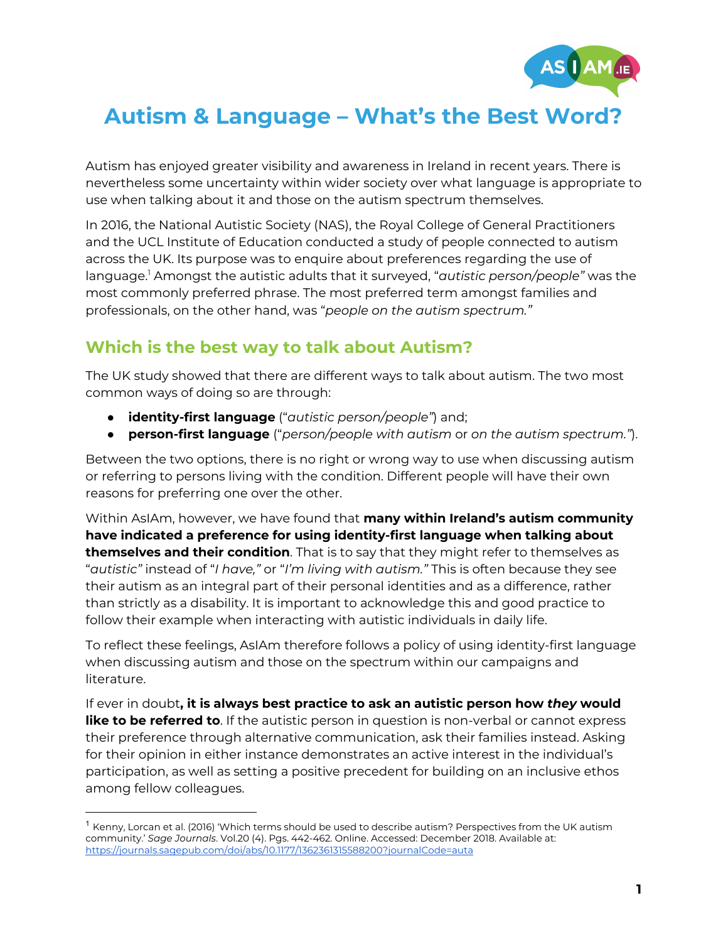

## **Autism & Language – What's the Best Word?**

Autism has enjoyed greater visibility and awareness in Ireland in recent years. There is nevertheless some uncertainty within wider society over what language is appropriate to use when talking about it and those on the autism spectrum themselves.

In 2016, the National Autistic Society (NAS), the Royal College of General Practitioners and the UCL Institute of Education conducted a study of people connected to autism across the UK. Its purpose was to enquire about preferences regarding the use of language.<sup>1</sup> Amongst the autistic adults that it surveyed, "*autistic person/people"* was the most commonly preferred phrase. The most preferred term amongst families and professionals, on the other hand, was "*people on the autism spectrum."*

## **Which is the best way to talk about Autism?**

The UK study showed that there are different ways to talk about autism. The two most common ways of doing so are through:

- **identity-first language** ("*autistic person/people"*) and;
- **person-first language** ("*person/people with autism* or *on the autism spectrum."*).

Between the two options, there is no right or wrong way to use when discussing autism or referring to persons living with the condition. Different people will have their own reasons for preferring one over the other.

Within AsIAm, however, we have found that **many within Ireland's autism community have indicated a preference for using identity-first language when talking about themselves and their condition**. That is to say that they might refer to themselves as "*autistic"* instead of "*I have,"* or "*I'm living with autism."* This is often because they see their autism as an integral part of their personal identities and as a difference, rather than strictly as a disability. It is important to acknowledge this and good practice to follow their example when interacting with autistic individuals in daily life.

To reflect these feelings, AsIAm therefore follows a policy of using identity-first language when discussing autism and those on the spectrum within our campaigns and literature.

If ever in doubt**, it is always best practice to ask an autistic person how** *they* **would like to be referred to**. If the autistic person in question is non-verbal or cannot express their preference through alternative communication, ask their families instead. Asking for their opinion in either instance demonstrates an active interest in the individual's participation, as well as setting a positive precedent for building on an inclusive ethos among fellow colleagues.

 $^1$  Kenny, Lorcan et al. (2016) 'Which terms should be used to describe autism? Perspectives from the UK autism community.' *Sage Journals*. Vol.20 (4). Pgs. 442-462. Online. Accessed: December 2018. Available at: <https://journals.sagepub.com/doi/abs/10.1177/1362361315588200?journalCode=auta>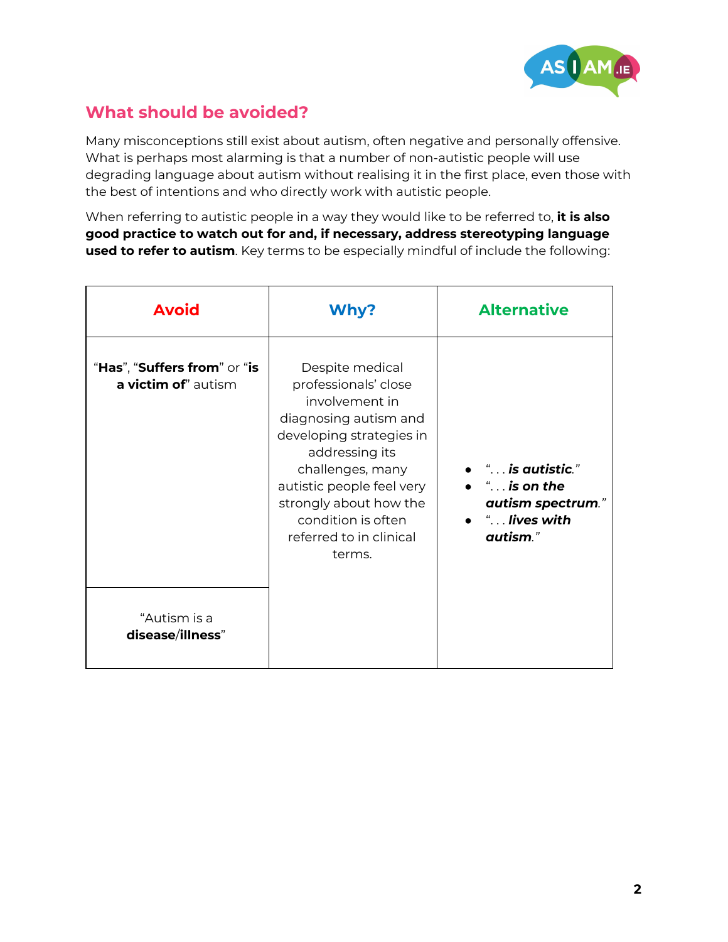

## **What should be avoided?**

Many misconceptions still exist about autism, often negative and personally offensive. What is perhaps most alarming is that a number of non-autistic people will use degrading language about autism without realising it in the first place, even those with the best of intentions and who directly work with autistic people.

When referring to autistic people in a way they would like to be referred to, **it is also good practice to watch out for and, if necessary, address stereotyping language used to refer to autism**. Key terms to be especially mindful of include the following:

| <b>Avoid</b>                                        | Why?                                                                                                                                                                                                                                                                   | <b>Alternative</b>                                                                                                   |
|-----------------------------------------------------|------------------------------------------------------------------------------------------------------------------------------------------------------------------------------------------------------------------------------------------------------------------------|----------------------------------------------------------------------------------------------------------------------|
| "Has", "Suffers from" or "is<br>a victim of" autism | Despite medical<br>professionals' close<br>involvement in<br>diagnosing autism and<br>developing strategies in<br>addressing its<br>challenges, many<br>autistic people feel very<br>strongly about how the<br>condition is often<br>referred to in clinical<br>terms. | $\bullet$ " is autistic."<br>$\bullet$ " is on the<br>autism spectrum."<br>$\bullet$ $\ldots$ lives with<br>autism." |
| "Autism is a<br>disease/illness"                    |                                                                                                                                                                                                                                                                        |                                                                                                                      |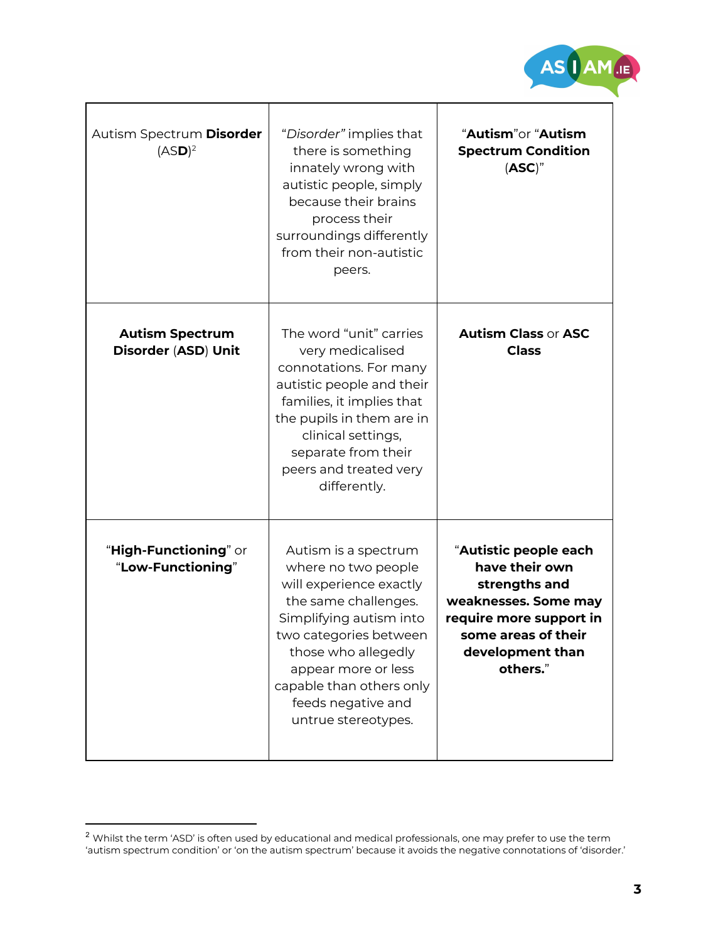

Τ

| Autism Spectrum Disorder<br>(ASD) <sup>2</sup> | "Disorder" implies that<br>there is something<br>innately wrong with<br>autistic people, simply<br>because their brains<br>process their<br>surroundings differently<br>from their non-autistic<br>peers.                                                                  | "Autism"or "Autism<br><b>Spectrum Condition</b><br>(ASC)"                                                                                                          |
|------------------------------------------------|----------------------------------------------------------------------------------------------------------------------------------------------------------------------------------------------------------------------------------------------------------------------------|--------------------------------------------------------------------------------------------------------------------------------------------------------------------|
| <b>Autism Spectrum</b><br>Disorder (ASD) Unit  | The word "unit" carries<br>very medicalised<br>connotations. For many<br>autistic people and their<br>families, it implies that<br>the pupils in them are in<br>clinical settings,<br>separate from their<br>peers and treated very<br>differently.                        | <b>Autism Class or ASC</b><br><b>Class</b>                                                                                                                         |
| "High-Functioning" or<br>"Low-Functioning"     | Autism is a spectrum<br>where no two people<br>will experience exactly<br>the same challenges.<br>Simplifying autism into<br>two categories between<br>those who allegedly<br>appear more or less<br>capable than others only<br>feeds negative and<br>untrue stereotypes. | "Autistic people each<br>have their own<br>strengths and<br>weaknesses. Some may<br>require more support in<br>some areas of their<br>development than<br>others." |

T

 $\overline{1}$ 

 $^2$  Whilst the term 'ASD' is often used by educational and medical professionals, one may prefer to use the term  $\,$ 'autism spectrum condition' or 'on the autism spectrum' because it avoids the negative connotations of 'disorder.'